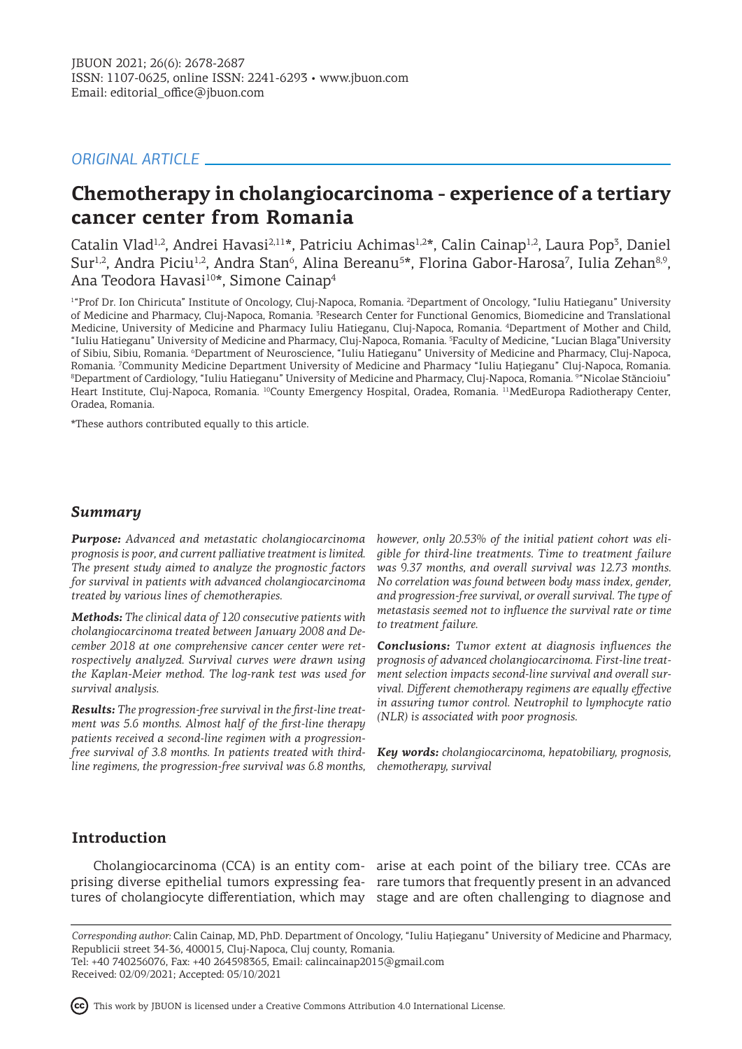# *ORIGINAL ARTICLE*

# **Chemotherapy in cholangiocarcinoma - experience of a tertiary cancer center from Romania**

Catalin Vlad<sup>1,2</sup>, Andrei Havasi<sup>2,11\*</sup>, Patriciu Achimas<sup>1,2\*</sup>, Calin Cainap<sup>1,2</sup>, Laura Pop<sup>3</sup>, Daniel Sur<sup>1,2</sup>, Andra Piciu<sup>1,2</sup>, Andra Stan<sup>6</sup>, Alina Bereanu<sup>5\*</sup>, Florina Gabor-Harosa<sup>7</sup>, Iulia Zehan<sup>8,9</sup>, Ana Teodora Havasi<sup>10\*</sup>, Simone Cainap<sup>4</sup>

<sup>1</sup>"Prof Dr. Ion Chiricuta" Institute of Oncology, Cluj-Napoca, Romania. <sup>2</sup>Department of Oncology, "Iuliu Hatieganu" University of Medicine and Pharmacy, Cluj-Napoca, Romania. <sup>3</sup>Research Center for Functional Genomics, Biomedicine and Translational Medicine, University of Medicine and Pharmacy Iuliu Hatieganu, Cluj-Napoca, Romania. <sup>4</sup> Department of Mother and Child, "Iuliu Hatieganu" University of Medicine and Pharmacy, Cluj-Napoca, Romania. <sup>5</sup> Faculty of Medicine, "Lucian Blaga"University of Sibiu, Sibiu, Romania. <sup>6</sup>Department of Neuroscience, "Iuliu Hatieganu" University of Medicine and Pharmacy, Cluj-Napoca, Romania. <sup>7</sup> Community Medicine Department University of Medicine and Pharmacy "Iuliu Haţieganu" Cluj-Napoca, Romania.  $^8$ Department of Cardiology, "Iuliu Hatieganu" University of Medicine and Pharmacy, Cluj-Napoca, Romania.  $^9$ "Nicolae Stăncioiu" Heart Institute, Cluj-Napoca, Romania. <sup>10</sup>County Emergency Hospital, Oradea, Romania. <sup>11</sup>MedEuropa Radiotherapy Center, Oradea, Romania.

\*These authors contributed equally to this article.

# *Summary*

*Purpose: Advanced and metastatic cholangiocarcinoma prognosis is poor, and current palliative treatment is limited. The present study aimed to analyze the prognostic factors for survival in patients with advanced cholangiocarcinoma treated by various lines of chemotherapies.*

*Methods: The clinical data of 120 consecutive patients with cholangiocarcinoma treated between January 2008 and December 2018 at one comprehensive cancer center were retrospectively analyzed. Survival curves were drawn using the Kaplan-Meier method. The log-rank test was used for survival analysis.* 

*Results: The progression-free survival in the first-line treatment was 5.6 months. Almost half of the first-line therapy patients received a second-line regimen with a progressionfree survival of 3.8 months. In patients treated with thirdline regimens, the progression-free survival was 6.8 months,* 

*however, only 20.53% of the initial patient cohort was eligible for third-line treatments. Time to treatment failure was 9.37 months, and overall survival was 12.73 months. No correlation was found between body mass index, gender, and progression-free survival, or overall survival. The type of metastasis seemed not to influence the survival rate or time to treatment failure.* 

*Conclusions: Tumor extent at diagnosis influences the prognosis of advanced cholangiocarcinoma. First-line treatment selection impacts second-line survival and overall survival. Different chemotherapy regimens are equally effective in assuring tumor control. Neutrophil to lymphocyte ratio (NLR) is associated with poor prognosis.*

*Key words: cholangiocarcinoma, hepatobiliary, prognosis, chemotherapy, survival*

# **Introduction**

Cholangiocarcinoma (CCA) is an entity com-arise at each point of the biliary tree. CCAs are prising diverse epithelial tumors expressing fea-rare tumors that frequently present in an advanced tures of cholangiocyte differentiation, which may stage and are often challenging to diagnose and

*Corresponding author:* Calin Cainap, MD, PhD. Department of Oncology, "Iuliu Haţieganu" University of Medicine and Pharmacy, Republicii street 34-36, 400015, Cluj-Napoca, Cluj county, Romania. Tel: +40 740256076, Fax: +40 264598365, Email: calincainap2015@gmail.com

Received: 02/09/2021; Accepted: 05/10/2021

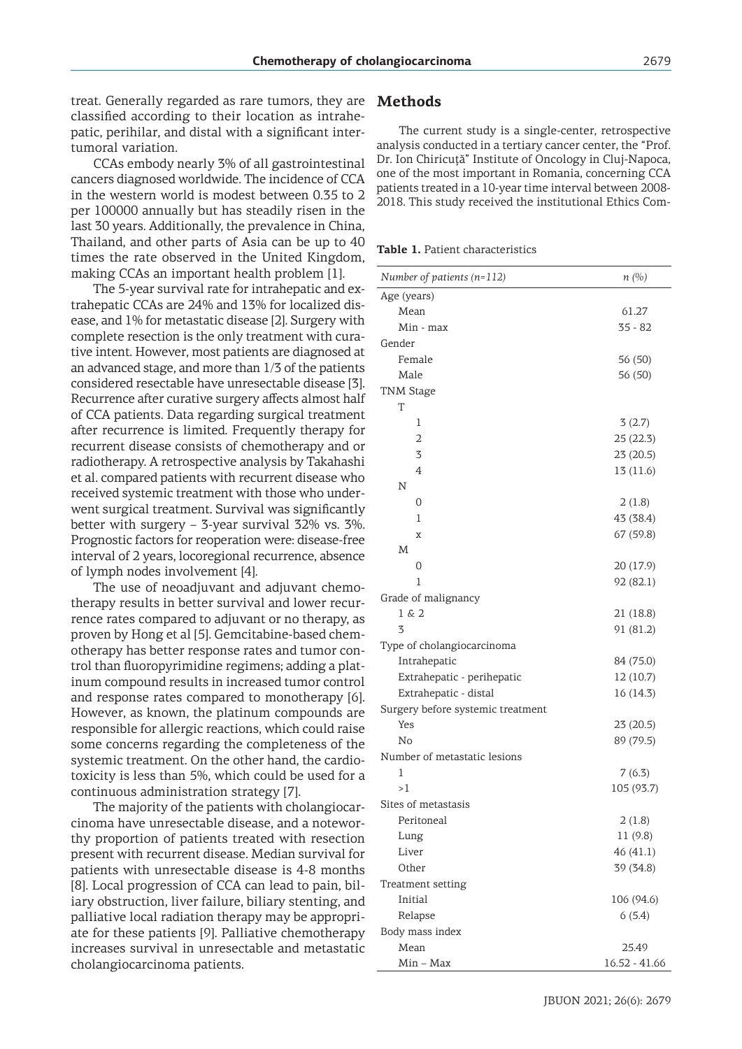treat. Generally regarded as rare tumors, they are classified according to their location as intrahepatic, perihilar, and distal with a significant intertumoral variation.

CCAs embody nearly 3% of all gastrointestinal cancers diagnosed worldwide. The incidence of CCA in the western world is modest between 0.35 to 2 per 100000 annually but has steadily risen in the last 30 years. Additionally, the prevalence in China, Thailand, and other parts of Asia can be up to 40 times the rate observed in the United Kingdom, making CCAs an important health problem [1].

The 5-year survival rate for intrahepatic and extrahepatic CCAs are 24% and 13% for localized disease, and 1% for metastatic disease [2]. Surgery with complete resection is the only treatment with curative intent. However, most patients are diagnosed at an advanced stage, and more than 1/3 of the patients considered resectable have unresectable disease [3]. Recurrence after curative surgery affects almost half of CCA patients. Data regarding surgical treatment after recurrence is limited. Frequently therapy for recurrent disease consists of chemotherapy and or radiotherapy. A retrospective analysis by Takahashi et al. compared patients with recurrent disease who received systemic treatment with those who underwent surgical treatment. Survival was significantly better with surgery – 3-year survival 32% vs. 3%. Prognostic factors for reoperation were: disease-free interval of 2 years, locoregional recurrence, absence of lymph nodes involvement [4].

The use of neoadjuvant and adjuvant chemotherapy results in better survival and lower recurrence rates compared to adjuvant or no therapy, as proven by Hong et al [5]. Gemcitabine-based chemotherapy has better response rates and tumor control than fluoropyrimidine regimens; adding a platinum compound results in increased tumor control and response rates compared to monotherapy [6]. However, as known, the platinum compounds are responsible for allergic reactions, which could raise some concerns regarding the completeness of the systemic treatment. On the other hand, the cardiotoxicity is less than 5%, which could be used for a continuous administration strategy [7].

The majority of the patients with cholangiocarcinoma have unresectable disease, and a noteworthy proportion of patients treated with resection present with recurrent disease. Median survival for patients with unresectable disease is 4-8 months [8]. Local progression of CCA can lead to pain, biliary obstruction, liver failure, biliary stenting, and palliative local radiation therapy may be appropriate for these patients [9]. Palliative chemotherapy increases survival in unresectable and metastatic cholangiocarcinoma patients.

### **Methods**

The current study is a single-center, retrospective analysis conducted in a tertiary cancer center, the "Prof. Dr. Ion Chiricuţă" Institute of Oncology in Cluj-Napoca, one of the most important in Romania, concerning CCA patients treated in a 10-year time interval between 2008- 2018. This study received the institutional Ethics Com-

**Table 1.** Patient characteristics

| Number of patients $(n=112)$      | $n~(\% )$     |
|-----------------------------------|---------------|
| Age (years)                       |               |
| Mean                              | 61.27         |
| Min - max                         | $35 - 82$     |
| Gender                            |               |
| Female                            | 56 (50)       |
| Male                              | 56 (50)       |
| <b>TNM Stage</b>                  |               |
| Т                                 |               |
| 1                                 | 3(2.7)        |
| $\overline{2}$                    | 25(22.3)      |
| 3                                 | 23 (20.5)     |
| 4                                 | 13 (11.6)     |
| N                                 |               |
| 0                                 | 2(1.8)        |
| 1                                 | 43 (38.4)     |
| x                                 | 67 (59.8)     |
| M                                 |               |
| 0                                 | 20 (17.9)     |
| 1                                 | 92 (82.1)     |
| Grade of malignancy               |               |
| 1 & 2                             | 21 (18.8)     |
| 3                                 | 91 (81.2)     |
| Type of cholangiocarcinoma        |               |
| Intrahepatic                      | 84 (75.0)     |
| Extrahepatic - perihepatic        | 12(10.7)      |
| Extrahepatic - distal             | 16 (14.3)     |
| Surgery before systemic treatment |               |
| Yes                               | 23 (20.5)     |
| No                                | 89 (79.5)     |
| Number of metastatic lesions      |               |
| 1                                 | 7(6.3)        |
| >1                                | 105 (93.7)    |
| Sites of metastasis               |               |
| Peritoneal                        | 2(1.8)        |
| Lung                              | 11 (9.8)      |
| Liver                             | 46 (41.1)     |
| Other                             | 39 (34.8)     |
| Treatment setting                 |               |
| Initial                           | 106 (94.6)    |
| Relapse                           | 6(5.4)        |
| Body mass index                   |               |
| Mean                              | 25.49         |
| Min - Max                         | 16.52 - 41.66 |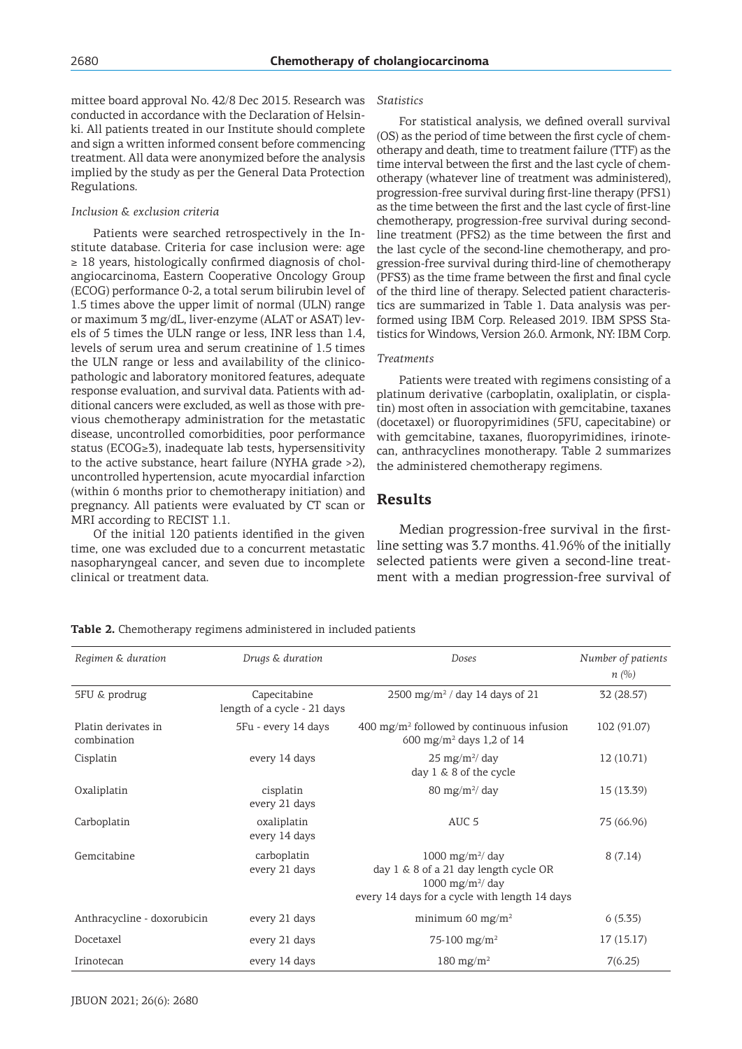mittee board approval No. 42/8 Dec 2015. Research was conducted in accordance with the Declaration of Helsinki. All patients treated in our Institute should complete and sign a written informed consent before commencing treatment. All data were anonymized before the analysis implied by the study as per the General Data Protection Regulations.

#### *Inclusion* & *exclusion criteria*

Patients were searched retrospectively in the Institute database. Criteria for case inclusion were: age ≥ 18 years, histologically confirmed diagnosis of cholangiocarcinoma, Eastern Cooperative Oncology Group (ECOG) performance 0-2, a total serum bilirubin level of 1.5 times above the upper limit of normal (ULN) range or maximum 3 mg/dL, liver-enzyme (ALAT or ASAT) levels of 5 times the ULN range or less, INR less than 1.4, levels of serum urea and serum creatinine of 1.5 times the ULN range or less and availability of the clinicopathologic and laboratory monitored features, adequate response evaluation, and survival data. Patients with additional cancers were excluded, as well as those with previous chemotherapy administration for the metastatic disease, uncontrolled comorbidities, poor performance status (ECOG≥3), inadequate lab tests, hypersensitivity to the active substance, heart failure (NYHA grade >2), uncontrolled hypertension, acute myocardial infarction (within 6 months prior to chemotherapy initiation) and pregnancy. All patients were evaluated by CT scan or MRI according to RECIST 1.1.

Of the initial 120 patients identified in the given time, one was excluded due to a concurrent metastatic nasopharyngeal cancer, and seven due to incomplete clinical or treatment data.

### *Statistics*

For statistical analysis, we defined overall survival (OS) as the period of time between the first cycle of chemotherapy and death, time to treatment failure (TTF) as the time interval between the first and the last cycle of chemotherapy (whatever line of treatment was administered), progression-free survival during first-line therapy (PFS1) as the time between the first and the last cycle of first-line chemotherapy, progression-free survival during secondline treatment (PFS2) as the time between the first and the last cycle of the second-line chemotherapy, and progression-free survival during third-line of chemotherapy (PFS3) as the time frame between the first and final cycle of the third line of therapy. Selected patient characteristics are summarized in Table 1. Data analysis was performed using IBM Corp. Released 2019. IBM SPSS Statistics for Windows, Version 26.0. Armonk, NY: IBM Corp.

#### *Treatments*

Patients were treated with regimens consisting of a platinum derivative (carboplatin, oxaliplatin, or cisplatin) most often in association with gemcitabine, taxanes (docetaxel) or fluoropyrimidines (5FU, capecitabine) or with gemcitabine, taxanes, fluoropyrimidines, irinotecan, anthracyclines monotherapy. Table 2 summarizes the administered chemotherapy regimens.

### **Results**

Median progression-free survival in the firstline setting was 3.7 months. 41.96% of the initially selected patients were given a second-line treatment with a median progression-free survival of

| Regimen & duration                 | Drugs & duration                            | Doses                                                                                                                                                      | Number of patients<br>n(%) |
|------------------------------------|---------------------------------------------|------------------------------------------------------------------------------------------------------------------------------------------------------------|----------------------------|
| 5FU & prodrug                      | Capecitabine<br>length of a cycle - 21 days | $2500 \text{ mg/m}^2$ / day 14 days of 21                                                                                                                  | 32 (28.57)                 |
| Platin derivates in<br>combination | 5Fu - every 14 days                         | $400 \text{ mg/m}^2$ followed by continuous infusion<br>600 mg/m <sup>2</sup> days 1,2 of 14                                                               | 102 (91.07)                |
| Cisplatin                          | every 14 days                               | $25 \text{ mg/m}^2$ day<br>day $1 \& 8$ of the cycle                                                                                                       | 12(10.71)                  |
| Oxaliplatin                        | cisplatin<br>every 21 days                  | 80 mg/m <sup>2</sup> / day                                                                                                                                 | 15 (13.39)                 |
| Carboplatin                        | oxaliplatin<br>every 14 days                | AUC <sub>5</sub>                                                                                                                                           | 75 (66.96)                 |
| Gemcitabine                        | carboplatin<br>every 21 days                | $1000$ mg/m <sup>2</sup> / day<br>day 1 & 8 of a 21 day length cycle OR<br>$1000$ mg/m <sup>2</sup> / day<br>every 14 days for a cycle with length 14 days | 8(7.14)                    |
| Anthracycline - doxorubicin        | every 21 days                               | minimum 60 mg/m <sup>2</sup>                                                                                                                               | 6(5.35)                    |
| Docetaxel                          | every 21 days                               | 75-100 mg/m <sup>2</sup>                                                                                                                                   | 17(15.17)                  |
| Irinotecan                         | every 14 days                               | 180 mg/m <sup>2</sup>                                                                                                                                      | 7(6.25)                    |

**Table 2.** Chemotherapy regimens administered in included patients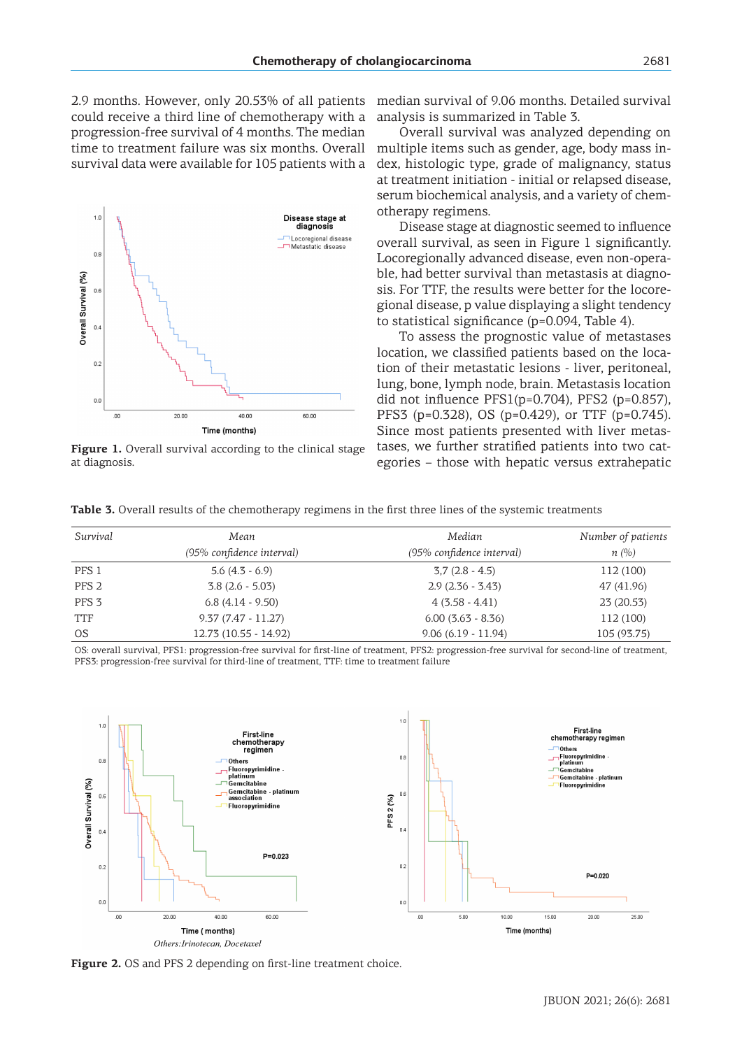2.9 months. However, only 20.53% of all patients could receive a third line of chemotherapy with a progression-free survival of 4 months. The median time to treatment failure was six months. Overall survival data were available for 105 patients with a



Figure 1. Overall survival according to the clinical stage at diagnosis.

median survival of 9.06 months. Detailed survival analysis is summarized in Table 3.

Overall survival was analyzed depending on multiple items such as gender, age, body mass index, histologic type, grade of malignancy, status at treatment initiation - initial or relapsed disease, serum biochemical analysis, and a variety of chemotherapy regimens.

Disease stage at diagnostic seemed to influence overall survival, as seen in Figure 1 significantly. Locoregionally advanced disease, even non-operable, had better survival than metastasis at diagnosis. For TTF, the results were better for the locoregional disease, p value displaying a slight tendency to statistical significance (p=0.094, Table 4).

To assess the prognostic value of metastases location, we classified patients based on the location of their metastatic lesions - liver, peritoneal, lung, bone, lymph node, brain. Metastasis location did not influence PFS1(p=0.704), PFS2 (p=0.857), PFS3 (p=0.328), OS (p=0.429), or TTF (p=0.745). Since most patients presented with liver metastases, we further stratified patients into two categories – those with hepatic versus extrahepatic

**Table 3.** Overall results of the chemotherapy regimens in the first three lines of the systemic treatments

| Survival         | Mean                      | Median                    | Number of patients |  |  |
|------------------|---------------------------|---------------------------|--------------------|--|--|
|                  | (95% confidence interval) | (95% confidence interval) | n(%)               |  |  |
| PFS 1            | $5.6(4.3 - 6.9)$          | $3.7(2.8 - 4.5)$          | 112 (100)          |  |  |
| PFS <sub>2</sub> | $3.8(2.6 - 5.03)$         | $2.9(2.36 - 3.43)$        | 47 (41.96)         |  |  |
| PFS <sub>3</sub> | $6.8(4.14 - 9.50)$        | $4(3.58 - 4.41)$          | 23 (20.53)         |  |  |
| <b>TTF</b>       | $9.37(7.47 - 11.27)$      | $6.00(3.63 - 8.36)$       | 112 (100)          |  |  |
| OS               | 12.73 (10.55 - 14.92)     | $9.06(6.19 - 11.94)$      | 105 (93.75)        |  |  |

OS: overall survival, PFS1: progression-free survival for first-line of treatment, PFS2: progression-free survival for second-line of treatment, PFS3: progression-free survival for third-line of treatment, TTF: time to treatment failure



**Figure 2.** OS and PFS 2 depending on first-line treatment choice.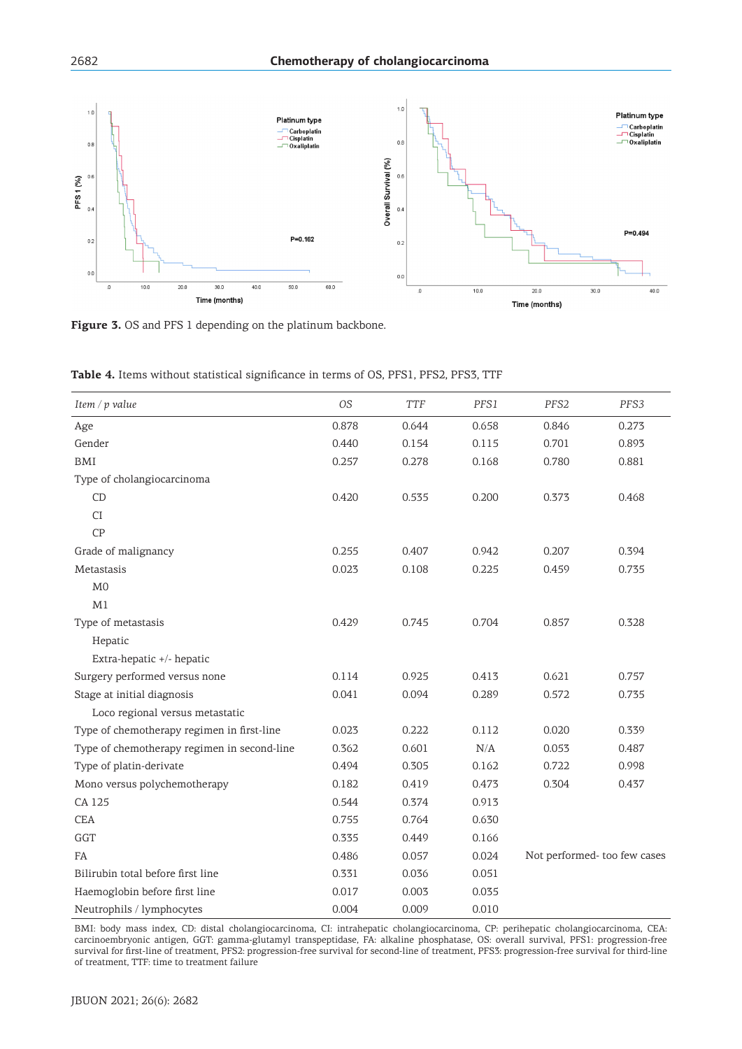

**Figure 3.** OS and PFS 1 depending on the platinum backbone.

|  | Table 4. Items without statistical significance in terms of OS, PFS1, PFS2, PFS3, TTF |  |  |  |  |
|--|---------------------------------------------------------------------------------------|--|--|--|--|
|  |                                                                                       |  |  |  |  |

| Item $/p$ value                             | OS    | <b>TTF</b> | PFS1  | PFS <sub>2</sub> | PFS3                         |
|---------------------------------------------|-------|------------|-------|------------------|------------------------------|
| Age                                         | 0.878 | 0.644      | 0.658 | 0.846            | 0.273                        |
| Gender                                      | 0.440 | 0.154      | 0.115 | 0.701            | 0.893                        |
| <b>BMI</b>                                  | 0.257 | 0.278      | 0.168 | 0.780            | 0.881                        |
| Type of cholangiocarcinoma                  |       |            |       |                  |                              |
| CD                                          | 0.420 | 0.535      | 0.200 | 0.373            | 0.468                        |
| <b>CI</b>                                   |       |            |       |                  |                              |
| CP                                          |       |            |       |                  |                              |
| Grade of malignancy                         | 0.255 | 0.407      | 0.942 | 0.207            | 0.394                        |
| Metastasis                                  | 0.023 | 0.108      | 0.225 | 0.459            | 0.735                        |
| M <sub>0</sub>                              |       |            |       |                  |                              |
| M1                                          |       |            |       |                  |                              |
| Type of metastasis                          | 0.429 | 0.745      | 0.704 | 0.857            | 0.328                        |
| Hepatic                                     |       |            |       |                  |                              |
| Extra-hepatic +/- hepatic                   |       |            |       |                  |                              |
| Surgery performed versus none               | 0.114 | 0.925      | 0.413 | 0.621            | 0.757                        |
| Stage at initial diagnosis                  | 0.041 | 0.094      | 0.289 | 0.572            | 0.735                        |
| Loco regional versus metastatic             |       |            |       |                  |                              |
| Type of chemotherapy regimen in first-line  | 0.023 | 0.222      | 0.112 | 0.020            | 0.339                        |
| Type of chemotherapy regimen in second-line | 0.362 | 0.601      | N/A   | 0.053            | 0.487                        |
| Type of platin-derivate                     | 0.494 | 0.305      | 0.162 | 0.722            | 0.998                        |
| Mono versus polychemotherapy                | 0.182 | 0.419      | 0.473 | 0.304            | 0.437                        |
| CA 125                                      | 0.544 | 0.374      | 0.913 |                  |                              |
| <b>CEA</b>                                  | 0.755 | 0.764      | 0.630 |                  |                              |
| GGT                                         | 0.335 | 0.449      | 0.166 |                  |                              |
| FA                                          | 0.486 | 0.057      | 0.024 |                  | Not performed- too few cases |
| Bilirubin total before first line           | 0.331 | 0.036      | 0.051 |                  |                              |
| Haemoglobin before first line               | 0.017 | 0.003      | 0.035 |                  |                              |
| Neutrophils / lymphocytes                   | 0.004 | 0.009      | 0.010 |                  |                              |

BMI: body mass index, CD: distal cholangiocarcinoma, CI: intrahepatic cholangiocarcinoma, CP: perihepatic cholangiocarcinoma, CEA: carcinoembryonic antigen, GGT: gamma-glutamyl transpeptidase, FA: alkaline phosphatase, OS: overall survival, PFS1: progression-free survival for first-line of treatment, PFS2: progression-free survival for second-line of treatment, PFS3: progression-free survival for third-line of treatment, TTF: time to treatment failure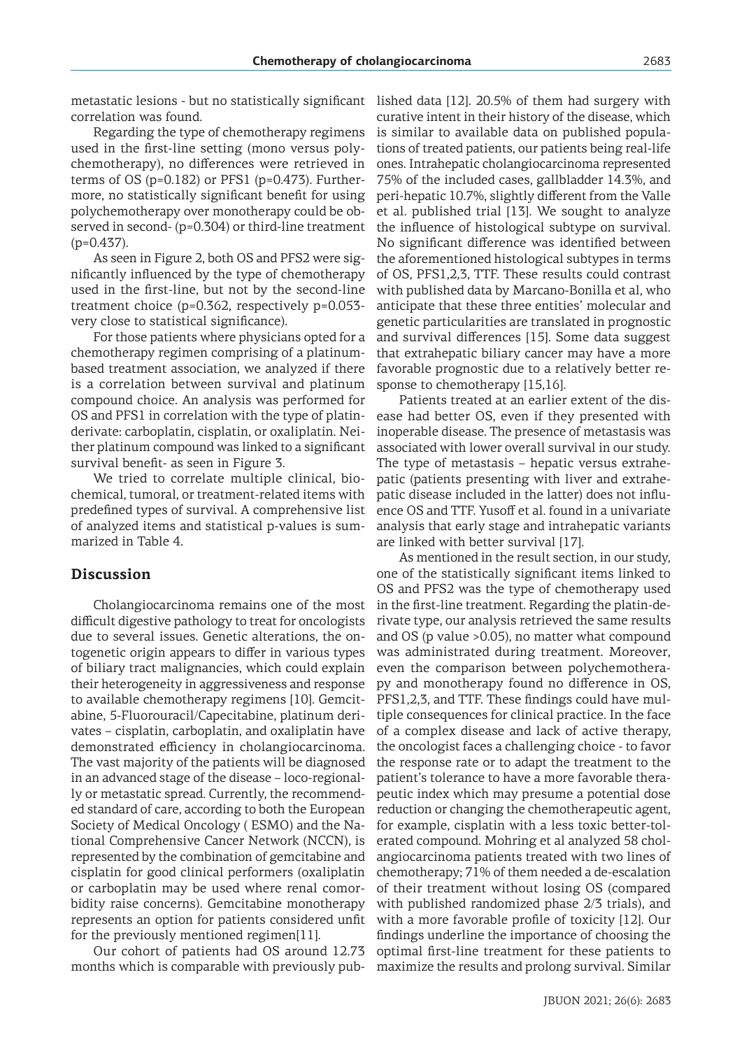correlation was found.

Regarding the type of chemotherapy regimens used in the first-line setting (mono versus polychemotherapy), no differences were retrieved in terms of OS ( $p=0.182$ ) or PFS1 ( $p=0.473$ ). Furthermore, no statistically significant benefit for using polychemotherapy over monotherapy could be observed in second- (p=0.304) or third-line treatment (p=0.437).

As seen in Figure 2, both OS and PFS2 were significantly influenced by the type of chemotherapy used in the first-line, but not by the second-line treatment choice (p=0.362, respectively p=0.053 very close to statistical significance).

For those patients where physicians opted for a chemotherapy regimen comprising of a platinumbased treatment association, we analyzed if there is a correlation between survival and platinum compound choice. An analysis was performed for OS and PFS1 in correlation with the type of platinderivate: carboplatin, cisplatin, or oxaliplatin. Neither platinum compound was linked to a significant survival benefit- as seen in Figure 3.

We tried to correlate multiple clinical, biochemical, tumoral, or treatment-related items with predefined types of survival. A comprehensive list of analyzed items and statistical p-values is summarized in Table 4.

# **Discussion**

Cholangiocarcinoma remains one of the most difficult digestive pathology to treat for oncologists due to several issues. Genetic alterations, the ontogenetic origin appears to differ in various types of biliary tract malignancies, which could explain their heterogeneity in aggressiveness and response to available chemotherapy regimens [10]. Gemcitabine, 5-Fluorouracil/Capecitabine, platinum derivates – cisplatin, carboplatin, and oxaliplatin have demonstrated efficiency in cholangiocarcinoma. The vast majority of the patients will be diagnosed in an advanced stage of the disease – loco-regionally or metastatic spread. Currently, the recommended standard of care, according to both the European Society of Medical Oncology ( ESMO) and the National Comprehensive Cancer Network (NCCN), is represented by the combination of gemcitabine and cisplatin for good clinical performers (oxaliplatin or carboplatin may be used where renal comorbidity raise concerns). Gemcitabine monotherapy represents an option for patients considered unfit for the previously mentioned regimen[11].

Our cohort of patients had OS around 12.73 months which is comparable with previously pub-

metastatic lesions - but no statistically significant lished data [12]. 20.5% of them had surgery with curative intent in their history of the disease, which is similar to available data on published populations of treated patients, our patients being real-life ones. Intrahepatic cholangiocarcinoma represented 75% of the included cases, gallbladder 14.3%, and peri-hepatic 10.7%, slightly different from the Valle et al. published trial [13]. We sought to analyze the influence of histological subtype on survival. No significant difference was identified between the aforementioned histological subtypes in terms of OS, PFS1,2,3, TTF. These results could contrast with published data by Marcano-Bonilla et al, who anticipate that these three entities' molecular and genetic particularities are translated in prognostic and survival differences [15]. Some data suggest that extrahepatic biliary cancer may have a more favorable prognostic due to a relatively better response to chemotherapy [15,16].

> Patients treated at an earlier extent of the disease had better OS, even if they presented with inoperable disease. The presence of metastasis was associated with lower overall survival in our study. The type of metastasis – hepatic versus extrahepatic (patients presenting with liver and extrahepatic disease included in the latter) does not influence OS and TTF. Yusoff et al. found in a univariate analysis that early stage and intrahepatic variants are linked with better survival [17].

> As mentioned in the result section, in our study, one of the statistically significant items linked to OS and PFS2 was the type of chemotherapy used in the first-line treatment. Regarding the platin-derivate type, our analysis retrieved the same results and OS (p value >0.05), no matter what compound was administrated during treatment. Moreover, even the comparison between polychemotherapy and monotherapy found no difference in OS, PFS1,2,3, and TTF. These findings could have multiple consequences for clinical practice. In the face of a complex disease and lack of active therapy, the oncologist faces a challenging choice - to favor the response rate or to adapt the treatment to the patient's tolerance to have a more favorable therapeutic index which may presume a potential dose reduction or changing the chemotherapeutic agent, for example, cisplatin with a less toxic better-tolerated compound. Mohring et al analyzed 58 cholangiocarcinoma patients treated with two lines of chemotherapy; 71% of them needed a de-escalation of their treatment without losing OS (compared with published randomized phase 2/3 trials), and with a more favorable profile of toxicity [12]. Our findings underline the importance of choosing the optimal first-line treatment for these patients to maximize the results and prolong survival. Similar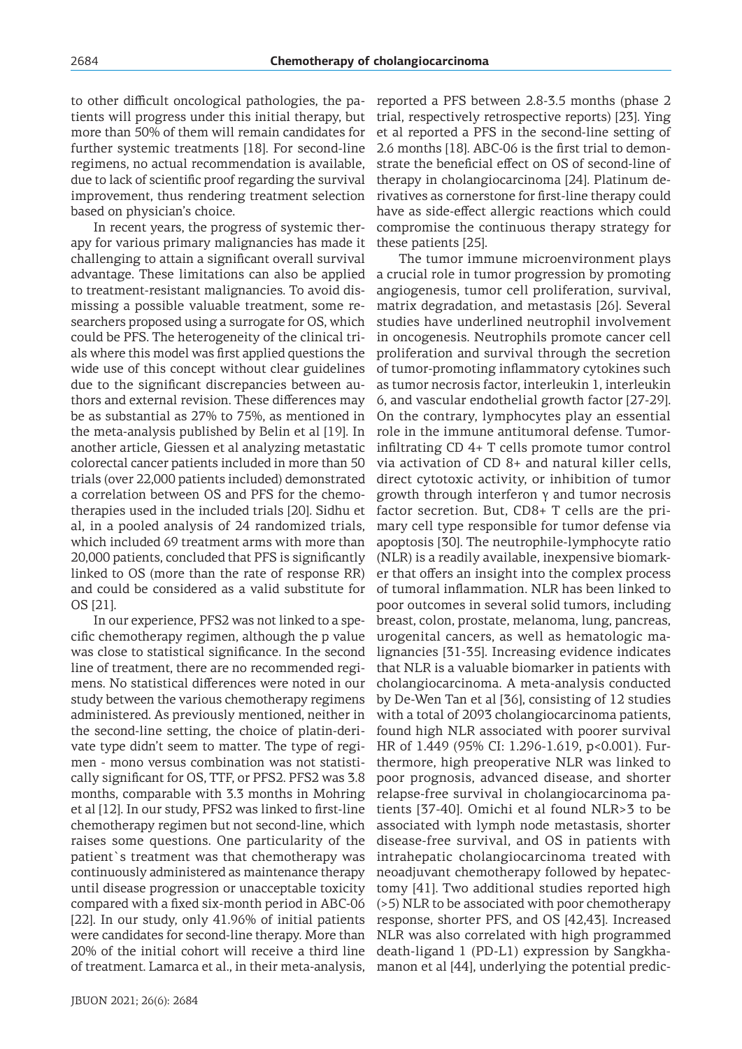to other difficult oncological pathologies, the patients will progress under this initial therapy, but more than 50% of them will remain candidates for further systemic treatments [18]. For second-line regimens, no actual recommendation is available, due to lack of scientific proof regarding the survival improvement, thus rendering treatment selection based on physician's choice.

In recent years, the progress of systemic therapy for various primary malignancies has made it challenging to attain a significant overall survival advantage. These limitations can also be applied to treatment-resistant malignancies. To avoid dismissing a possible valuable treatment, some researchers proposed using a surrogate for OS, which could be PFS. The heterogeneity of the clinical trials where this model was first applied questions the wide use of this concept without clear guidelines due to the significant discrepancies between authors and external revision. These differences may be as substantial as 27% to 75%, as mentioned in the meta-analysis published by Belin et al [19]. In another article, Giessen et al analyzing metastatic colorectal cancer patients included in more than 50 trials (over 22,000 patients included) demonstrated a correlation between OS and PFS for the chemotherapies used in the included trials [20]. Sidhu et al, in a pooled analysis of 24 randomized trials, which included 69 treatment arms with more than 20,000 patients, concluded that PFS is significantly linked to OS (more than the rate of response RR) and could be considered as a valid substitute for OS [21].

In our experience, PFS2 was not linked to a specific chemotherapy regimen, although the p value was close to statistical significance. In the second line of treatment, there are no recommended regimens. No statistical differences were noted in our study between the various chemotherapy regimens administered. As previously mentioned, neither in the second-line setting, the choice of platin-derivate type didn't seem to matter. The type of regimen - mono versus combination was not statistically significant for OS, TTF, or PFS2. PFS2 was 3.8 months, comparable with 3.3 months in Mohring et al [12]. In our study, PFS2 was linked to first-line chemotherapy regimen but not second-line, which raises some questions. One particularity of the patient`s treatment was that chemotherapy was continuously administered as maintenance therapy until disease progression or unacceptable toxicity compared with a fixed six-month period in ABC-06 [22]. In our study, only 41.96% of initial patients were candidates for second-line therapy. More than 20% of the initial cohort will receive a third line of treatment. Lamarca et al., in their meta-analysis,

JBUON 2021; 26(6): 2684

reported a PFS between 2.8-3.5 months (phase 2 trial, respectively retrospective reports) [23]. Ying et al reported a PFS in the second-line setting of 2.6 months [18]. ABC-06 is the first trial to demonstrate the beneficial effect on OS of second-line of therapy in cholangiocarcinoma [24]. Platinum derivatives as cornerstone for first-line therapy could have as side-effect allergic reactions which could compromise the continuous therapy strategy for these patients [25].

The tumor immune microenvironment plays a crucial role in tumor progression by promoting angiogenesis, tumor cell proliferation, survival, matrix degradation, and metastasis [26]. Several studies have underlined neutrophil involvement in oncogenesis. Neutrophils promote cancer cell proliferation and survival through the secretion of tumor-promoting inflammatory cytokines such as tumor necrosis factor, interleukin 1, interleukin 6, and vascular endothelial growth factor [27-29]. On the contrary, lymphocytes play an essential role in the immune antitumoral defense. Tumorinfiltrating CD 4+ T cells promote tumor control via activation of CD 8+ and natural killer cells, direct cytotoxic activity, or inhibition of tumor growth through interferon γ and tumor necrosis factor secretion. But, CD8+ T cells are the primary cell type responsible for tumor defense via apoptosis [30]. The neutrophile-lymphocyte ratio (NLR) is a readily available, inexpensive biomarker that offers an insight into the complex process of tumoral inflammation. NLR has been linked to poor outcomes in several solid tumors, including breast, colon, prostate, melanoma, lung, pancreas, urogenital cancers, as well as hematologic malignancies [31-35]. Increasing evidence indicates that NLR is a valuable biomarker in patients with cholangiocarcinoma. A meta-analysis conducted by De-Wen Tan et al [36], consisting of 12 studies with a total of 2093 cholangiocarcinoma patients, found high NLR associated with poorer survival HR of 1.449 (95% CI: 1.296-1.619, p<0.001). Furthermore, high preoperative NLR was linked to poor prognosis, advanced disease, and shorter relapse-free survival in cholangiocarcinoma patients [37-40]. Omichi et al found NLR>3 to be associated with lymph node metastasis, shorter disease-free survival, and OS in patients with intrahepatic cholangiocarcinoma treated with neoadjuvant chemotherapy followed by hepatectomy [41]. Two additional studies reported high (>5) NLR to be associated with poor chemotherapy response, shorter PFS, and OS [42,43]. Increased NLR was also correlated with high programmed death-ligand 1 (PD-L1) expression by Sangkhamanon et al [44], underlying the potential predic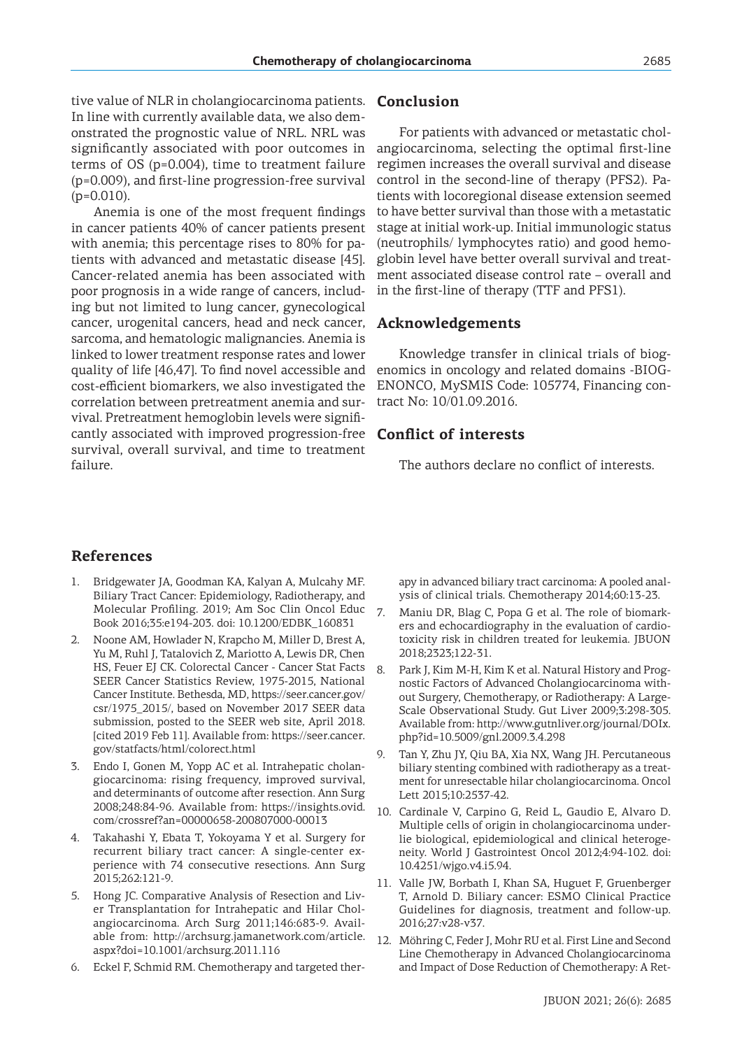tive value of NLR in cholangiocarcinoma patients. In line with currently available data, we also demonstrated the prognostic value of NRL. NRL was significantly associated with poor outcomes in terms of OS (p=0.004), time to treatment failure (p=0.009), and first-line progression-free survival (p=0.010).

Anemia is one of the most frequent findings in cancer patients 40% of cancer patients present with anemia; this percentage rises to 80% for patients with advanced and metastatic disease [45]. Cancer-related anemia has been associated with poor prognosis in a wide range of cancers, including but not limited to lung cancer, gynecological cancer, urogenital cancers, head and neck cancer, sarcoma, and hematologic malignancies. Anemia is linked to lower treatment response rates and lower quality of life [46,47]. To find novel accessible and cost-efficient biomarkers, we also investigated the correlation between pretreatment anemia and survival. Pretreatment hemoglobin levels were significantly associated with improved progression-free survival, overall survival, and time to treatment failure.

## **Conclusion**

For patients with advanced or metastatic cholangiocarcinoma, selecting the optimal first-line regimen increases the overall survival and disease control in the second-line of therapy (PFS2). Patients with locoregional disease extension seemed to have better survival than those with a metastatic stage at initial work-up. Initial immunologic status (neutrophils/ lymphocytes ratio) and good hemoglobin level have better overall survival and treatment associated disease control rate – overall and in the first-line of therapy (TTF and PFS1).

### **Acknowledgements**

Knowledge transfer in clinical trials of biogenomics in oncology and related domains -BIOG-ENONCO, MySMIS Code: 105774, Financing contract No: 10/01.09.2016.

# **Conflict of interests**

The authors declare no conflict of interests.

# **References**

- 1. Bridgewater JA, Goodman KA, Kalyan A, Mulcahy MF. Biliary Tract Cancer: Epidemiology, Radiotherapy, and Molecular Profiling. 2019; Am Soc Clin Oncol Educ Book 2016;35:e194-203. doi: 10.1200/EDBK\_160831
- 2. Noone AM, Howlader N, Krapcho M, Miller D, Brest A, Yu M, Ruhl J, Tatalovich Z, Mariotto A, Lewis DR, Chen HS, Feuer EJ CK. Colorectal Cancer - Cancer Stat Facts SEER Cancer Statistics Review, 1975-2015, National Cancer Institute. Bethesda, MD, https://seer.cancer.gov/ csr/1975\_2015/, based on November 2017 SEER data submission, posted to the SEER web site, April 2018. [cited 2019 Feb 11]. Available from: https://seer.cancer. gov/statfacts/html/colorect.html
- 3. Endo I, Gonen M, Yopp AC et al. Intrahepatic cholangiocarcinoma: rising frequency, improved survival, and determinants of outcome after resection. Ann Surg 2008;248:84-96. Available from: https://insights.ovid. com/crossref?an=00000658-200807000-00013
- 4. Takahashi Y, Ebata T, Yokoyama Y et al. Surgery for recurrent biliary tract cancer: A single-center experience with 74 consecutive resections. Ann Surg 2015;262:121-9.
- 5. Hong JC. Comparative Analysis of Resection and Liver Transplantation for Intrahepatic and Hilar Cholangiocarcinoma. Arch Surg 2011;146:683-9. Available from: http://archsurg.jamanetwork.com/article. aspx?doi=10.1001/archsurg.2011.116
- 6. Eckel F, Schmid RM. Chemotherapy and targeted ther-

apy in advanced biliary tract carcinoma: A pooled analysis of clinical trials. Chemotherapy 2014;60:13-23.

- 7. Maniu DR, Blag C, Popa G et al. The role of biomarkers and echocardiography in the evaluation of cardiotoxicity risk in children treated for leukemia. JBUON 2018;2323;122-31.
- 8. Park J, Kim M-H, Kim K et al. Natural History and Prognostic Factors of Advanced Cholangiocarcinoma without Surgery, Chemotherapy, or Radiotherapy: A Large-Scale Observational Study. Gut Liver 2009;3:298-305. Available from: http://www.gutnliver.org/journal/DOIx. php?id=10.5009/gnl.2009.3.4.298
- 9. Tan Y, Zhu JY, Qiu BA, Xia NX, Wang JH. Percutaneous biliary stenting combined with radiotherapy as a treatment for unresectable hilar cholangiocarcinoma. Oncol Lett 2015;10:2537-42.
- 10. Cardinale V, Carpino G, Reid L, Gaudio E, Alvaro D. Multiple cells of origin in cholangiocarcinoma underlie biological, epidemiological and clinical heterogeneity. World J Gastrointest Oncol 2012;4:94-102. doi: 10.4251/wjgo.v4.i5.94.
- 11. Valle JW, Borbath I, Khan SA, Huguet F, Gruenberger T, Arnold D. Biliary cancer: ESMO Clinical Practice Guidelines for diagnosis, treatment and follow-up. 2016;27:v28-v37.
- 12. Möhring C, Feder J, Mohr RU et al. First Line and Second Line Chemotherapy in Advanced Cholangiocarcinoma and Impact of Dose Reduction of Chemotherapy: A Ret-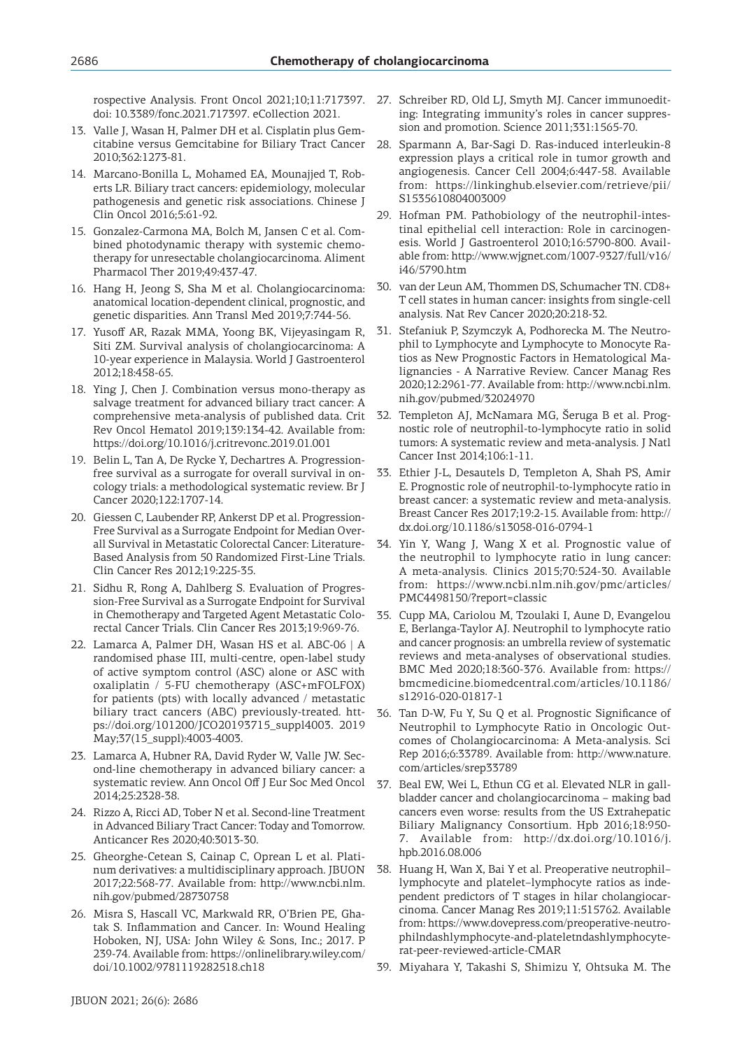rospective Analysis. Front Oncol 2021;10;11:717397. doi: 10.3389/fonc.2021.717397. eCollection 2021.

- 13. Valle J, Wasan H, Palmer DH et al. Cisplatin plus Gemcitabine versus Gemcitabine for Biliary Tract Cancer 2010;362:1273-81.
- 14. Marcano-Bonilla L, Mohamed EA, Mounajjed T, Roberts LR. Biliary tract cancers: epidemiology, molecular pathogenesis and genetic risk associations. Chinese J Clin Oncol 2016;5:61-92.
- 15. Gonzalez-Carmona MA, Bolch M, Jansen C et al. Combined photodynamic therapy with systemic chemotherapy for unresectable cholangiocarcinoma. Aliment Pharmacol Ther 2019;49:437-47.
- 16. Hang H, Jeong S, Sha M et al. Cholangiocarcinoma: anatomical location-dependent clinical, prognostic, and genetic disparities. Ann Transl Med 2019;7:744-56.
- 17. Yusoff AR, Razak MMA, Yoong BK, Vijeyasingam R, Siti ZM. Survival analysis of cholangiocarcinoma: A 10-year experience in Malaysia. World J Gastroenterol 2012;18:458-65.
- 18. Ying J, Chen J. Combination versus mono-therapy as salvage treatment for advanced biliary tract cancer: A comprehensive meta-analysis of published data. Crit Rev Oncol Hematol 2019;139:134-42. Available from: https://doi.org/10.1016/j.critrevonc.2019.01.001
- 19. Belin L, Tan A, De Rycke Y, Dechartres A. Progressionfree survival as a surrogate for overall survival in oncology trials: a methodological systematic review. Br J Cancer 2020;122:1707-14.
- 20. Giessen C, Laubender RP, Ankerst DP et al. Progression-Free Survival as a Surrogate Endpoint for Median Overall Survival in Metastatic Colorectal Cancer: Literature-Based Analysis from 50 Randomized First-Line Trials. Clin Cancer Res 2012;19:225-35.
- 21. Sidhu R, Rong A, Dahlberg S. Evaluation of Progression-Free Survival as a Surrogate Endpoint for Survival in Chemotherapy and Targeted Agent Metastatic Colorectal Cancer Trials. Clin Cancer Res 2013;19:969-76.
- 22. Lamarca A, Palmer DH, Wasan HS et al. ABC-06 | A randomised phase III, multi-centre, open-label study of active symptom control (ASC) alone or ASC with oxaliplatin / 5-FU chemotherapy (ASC+mFOLFOX) for patients (pts) with locally advanced / metastatic biliary tract cancers (ABC) previously-treated. https://doi.org/101200/JCO20193715\_suppl4003. 2019 May;37(15\_suppl):4003-4003.
- 23. Lamarca A, Hubner RA, David Ryder W, Valle JW. Second-line chemotherapy in advanced biliary cancer: a systematic review. Ann Oncol Off J Eur Soc Med Oncol 2014;25:2328-38.
- 24. Rizzo A, Ricci AD, Tober N et al. Second-line Treatment in Advanced Biliary Tract Cancer: Today and Tomorrow. Anticancer Res 2020;40:3013-30.
- 25. Gheorghe-Cetean S, Cainap C, Oprean L et al. Platinum derivatives: a multidisciplinary approach. JBUON 2017;22:568-77. Available from: http://www.ncbi.nlm. nih.gov/pubmed/28730758
- 26. Misra S, Hascall VC, Markwald RR, O'Brien PE, Ghatak S. Inflammation and Cancer. In: Wound Healing Hoboken, NJ, USA: John Wiley & Sons, Inc.; 2017. P 239-74. Available from: https://onlinelibrary.wiley.com/ doi/10.1002/9781119282518.ch18
- 27. Schreiber RD, Old LJ, Smyth MJ. Cancer immunoediting: Integrating immunity's roles in cancer suppression and promotion. Science 2011;331:1565-70.
- 28. Sparmann A, Bar-Sagi D. Ras-induced interleukin-8 expression plays a critical role in tumor growth and angiogenesis. Cancer Cell 2004;6:447-58. Available from: https://linkinghub.elsevier.com/retrieve/pii/ S1535610804003009
- 29. Hofman PM. Pathobiology of the neutrophil-intestinal epithelial cell interaction: Role in carcinogenesis. World J Gastroenterol 2010;16:5790-800. Available from: http://www.wjgnet.com/1007-9327/full/v16/ i46/5790.htm
- 30. van der Leun AM, Thommen DS, Schumacher TN. CD8+ T cell states in human cancer: insights from single-cell analysis. Nat Rev Cancer 2020;20:218-32.
- 31. Stefaniuk P, Szymczyk A, Podhorecka M. The Neutrophil to Lymphocyte and Lymphocyte to Monocyte Ratios as New Prognostic Factors in Hematological Malignancies - A Narrative Review. Cancer Manag Res 2020;12:2961-77. Available from: http://www.ncbi.nlm. nih.gov/pubmed/32024970
- 32. Templeton AJ, McNamara MG, Šeruga B et al. Prognostic role of neutrophil-to-lymphocyte ratio in solid tumors: A systematic review and meta-analysis. J Natl Cancer Inst 2014;106:1-11.
- 33. Ethier J-L, Desautels D, Templeton A, Shah PS, Amir E. Prognostic role of neutrophil-to-lymphocyte ratio in breast cancer: a systematic review and meta-analysis. Breast Cancer Res 2017;19:2-15. Available from: http:// dx.doi.org/10.1186/s13058-016-0794-1
- 34. Yin Y, Wang J, Wang X et al. Prognostic value of the neutrophil to lymphocyte ratio in lung cancer: A meta-analysis. Clinics 2015;70:524-30. Available from: https://www.ncbi.nlm.nih.gov/pmc/articles/ PMC4498150/?report=classic
- 35. Cupp MA, Cariolou M, Tzoulaki I, Aune D, Evangelou E, Berlanga-Taylor AJ. Neutrophil to lymphocyte ratio and cancer prognosis: an umbrella review of systematic reviews and meta-analyses of observational studies. BMC Med 2020;18:360-376. Available from: https:// bmcmedicine.biomedcentral.com/articles/10.1186/ s12916-020-01817-1
- 36. Tan D-W, Fu Y, Su Q et al. Prognostic Significance of Neutrophil to Lymphocyte Ratio in Oncologic Outcomes of Cholangiocarcinoma: A Meta-analysis. Sci Rep 2016;6:33789. Available from: http://www.nature. com/articles/srep33789
- 37. Beal EW, Wei L, Ethun CG et al. Elevated NLR in gallbladder cancer and cholangiocarcinoma – making bad cancers even worse: results from the US Extrahepatic Biliary Malignancy Consortium. Hpb 2016;18:950- 7. Available from: http://dx.doi.org/10.1016/j. hpb.2016.08.006
- 38. Huang H, Wan X, Bai Y et al. Preoperative neutrophil– lymphocyte and platelet–lymphocyte ratios as independent predictors of T stages in hilar cholangiocarcinoma. Cancer Manag Res 2019;11:515762. Available from: https://www.dovepress.com/preoperative-neutrophilndashlymphocyte-and-plateletndashlymphocyterat-peer-reviewed-article-CMAR
- 39. Miyahara Y, Takashi S, Shimizu Y, Ohtsuka M. The